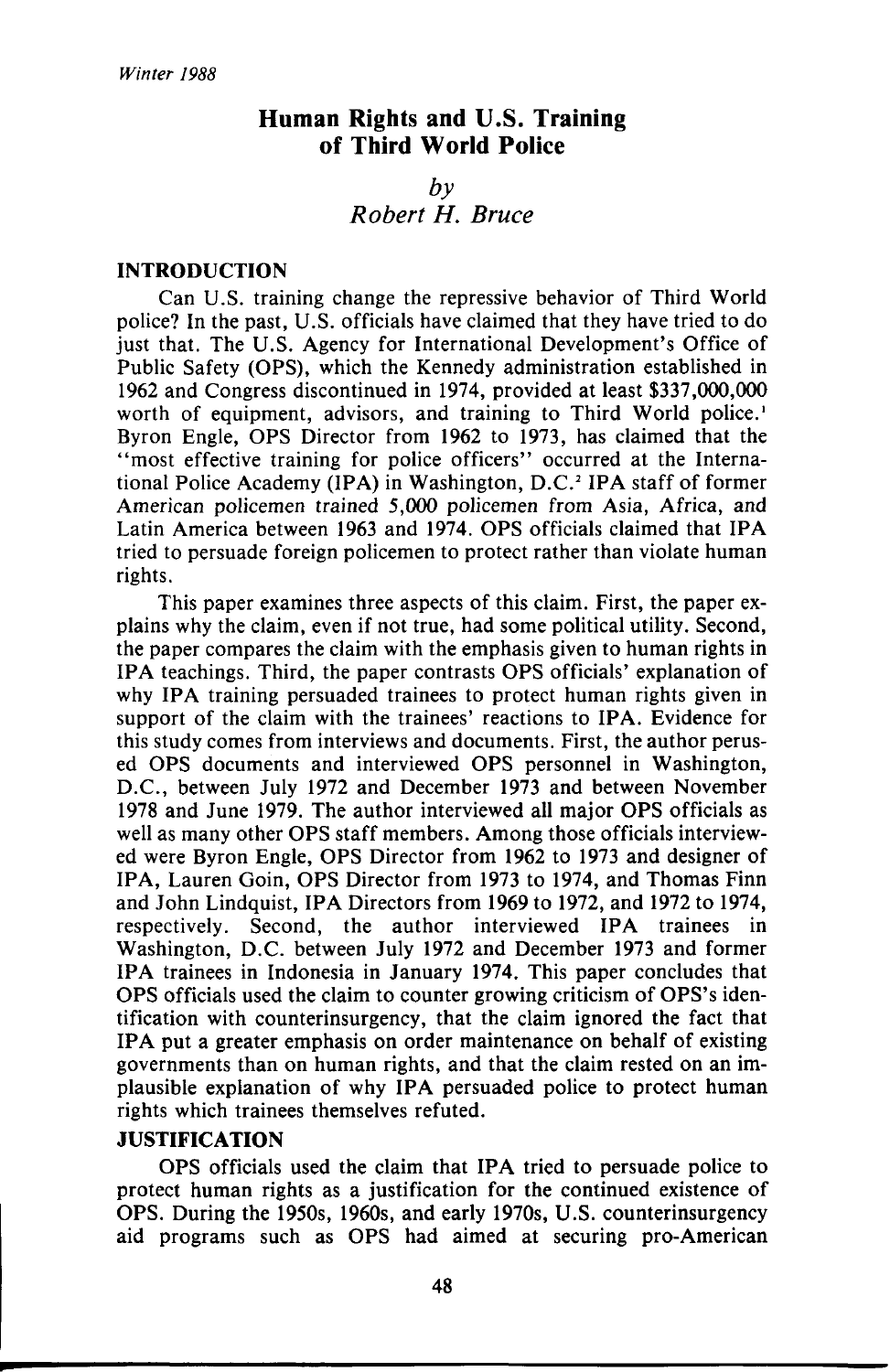# **Human Rights and U.S. Training of Third World Police**

## $b\nu$ *Robert H. Bruce*

### **INTRODUCTION**

Can U.S. training change the repressive behavior of Third World police? In the past, U.S. officials have claimed that they have tried to do just that. The U.S. Agency for International Development's Office of Public Safety (OPS), which the Kennedy administration established in 1962 and Congress discontinued in 1974, provided at least \$337,000,000 worth of equipment, advisors, and training to Third World police.' Byron Engle, OPS Director from 1962 to 1973, has claimed that the "most effective training for police officers" occurred at the International Police Academy (IPA) in Washington, D.C.<sup>2</sup> IPA staff of former American policemen trained 5,000 policemen from Asia, Africa, and Latin America between 1963 and 1974. OPS officials claimed that IPA tried to persuade foreign policemen to protect rather than violate human rights.

This paper examines three aspects of this claim. First, the paper explains why the claim, even if not true, had some political utility. Second, the paper compares the claim with the emphasis given to human rights in IPA teachings. Third, the paper contrasts OPS officials' explanation of why IPA training persuaded trainees to protect human rights given in support of the claim with the trainees' reactions to IPA. Evidence for this study comes from interviews and documents. First, the author perused OPS documents and interviewed OPS personnel in Washington, D.C, between July 1972 and December 1973 and between November 1978 and June 1979. The author interviewed all major OPS officials as well as many other OPS staff members. Among those officials interviewed were Byron Engle, OPS Director from 1962 to 1973 and designer of IPA, Lauren Goin, OPS Director from 1973 to 1974, and Thomas Finn and John Lindquist, IPA Directors from 1969 to 1972, and 1972 to 1974, respectively. Second, the author interviewed IPA trainees in Washington, D.C. between July 1972 and December 1973 and former IPA trainees in Indonesia in January 1974. This paper concludes that OPS officials used the claim to counter growing criticism of OPS's identification with counterinsurgency, that the claim ignored the fact that IPA put a greater emphasis on order maintenance on behalf of existing governments than on human rights, and that the claim rested on an implausible explanation of why IPA persuaded police to protect human rights which trainees themselves refuted.

### **JUSTIFICATION**

OPS officials used the claim that IPA tried to persuade police to protect human rights as a justification for the continued existence of OPS. During the 1950s, 1960s, and early 1970s, U.S. counterinsurgency aid programs such as OPS had aimed at securing pro-American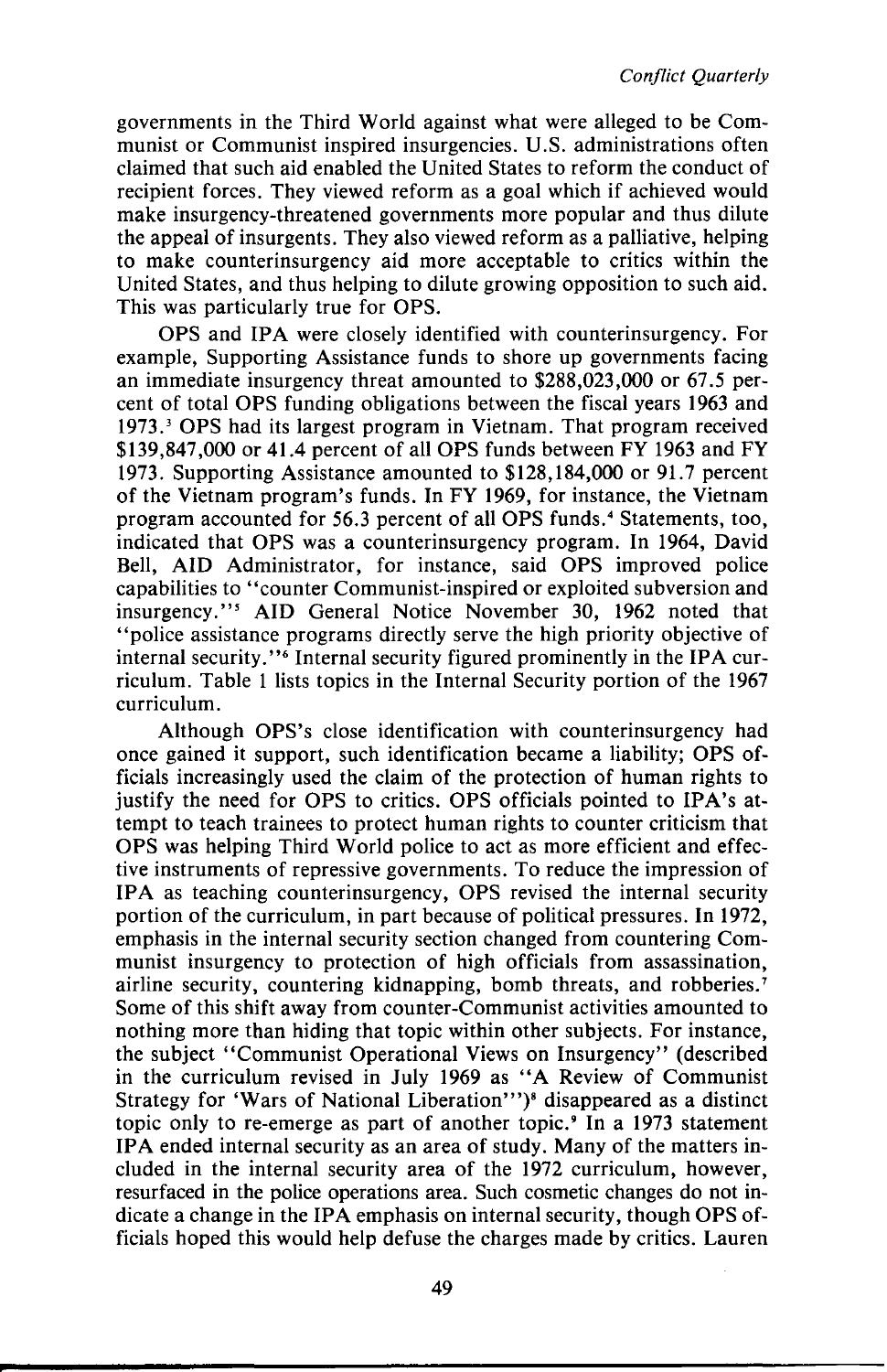governments in the Third World against what were alleged to be Communist or Communist inspired insurgencies. U.S. administrations often claimed that such aid enabled the United States to reform the conduct of recipient forces. They viewed reform as a goal which if achieved would make insurgency-threatened governments more popular and thus dilute the appeal of insurgents. They also viewed reform as a palliative, helping to make counterinsurgency aid more acceptable to critics within the United States, and thus helping to dilute growing opposition to such aid. This was particularly true for OPS.

OPS and IPA were closely identified with counterinsurgency. For example, Supporting Assistance funds to shore up governments facing an immediate insurgency threat amounted to \$288,023,000 or 67.5 percent of total OPS funding obligations between the fiscal years 1963 and 1973.<sup>3</sup> OPS had its largest program in Vietnam. That program received \$139,847,000 or 41.4 percent of all OPS funds between FY 1963 and FY 1973. Supporting Assistance amounted to \$128,184,000 or 91.7 percent of the Vietnam program's funds. In FY 1969, for instance, the Vietnam program accounted for 56.3 percent of all OPS funds.<sup>4</sup> Statements, too, indicated that OPS was a counterinsurgency program. In 1964, David Bell, AID Administrator, for instance, said OPS improved police capabilities to "counter Communist-inspired or exploited subversion and insurgency."<sup>5</sup> AID General Notice November 30, 1962 noted that "police assistance programs directly serve the high priority objective of internal security."<sup>6</sup> Internal security figured prominently in the IPA curriculum. Table 1 lists topics in the Internal Security portion of the 1967 curriculum.

Although OPS's close identification with counterinsurgency had once gained it support, such identification became a liability; OPS officials increasingly used the claim of the protection of human rights to justify the need for OPS to critics. OPS officials pointed to IPA's attempt to teach trainees to protect human rights to counter criticism that OPS was helping Third World police to act as more efficient and effective instruments of repressive governments. To reduce the impression of IPA as teaching counterinsurgency, OPS revised the internal security portion of the curriculum, in part because of political pressures. In 1972, emphasis in the internal security section changed from countering Communist insurgency to protection of high officials from assassination, airline security, countering kidnapping, bomb threats, and robberies.<sup>7</sup> Some of this shift away from counter-Communist activities amounted to nothing more than hiding that topic within other subjects. For instance, the subject "Communist Operational Views on Insurgency" (described in the curriculum revised in July 1969 as "A Review of Communist Strategy for 'Wars of National Liberation'")<sup>8</sup> disappeared as a distinct topic only to re-emerge as part of another topic.<sup>9</sup> In a 1973 statement IPA ended internal security as an area of study. Many of the matters included in the internal security area of the 1972 curriculum, however, resurfaced in the police operations area. Such cosmetic changes do not indicate a change in the IPA emphasis on internal security, though OPS officials hoped this would help defuse the charges made by critics. Lauren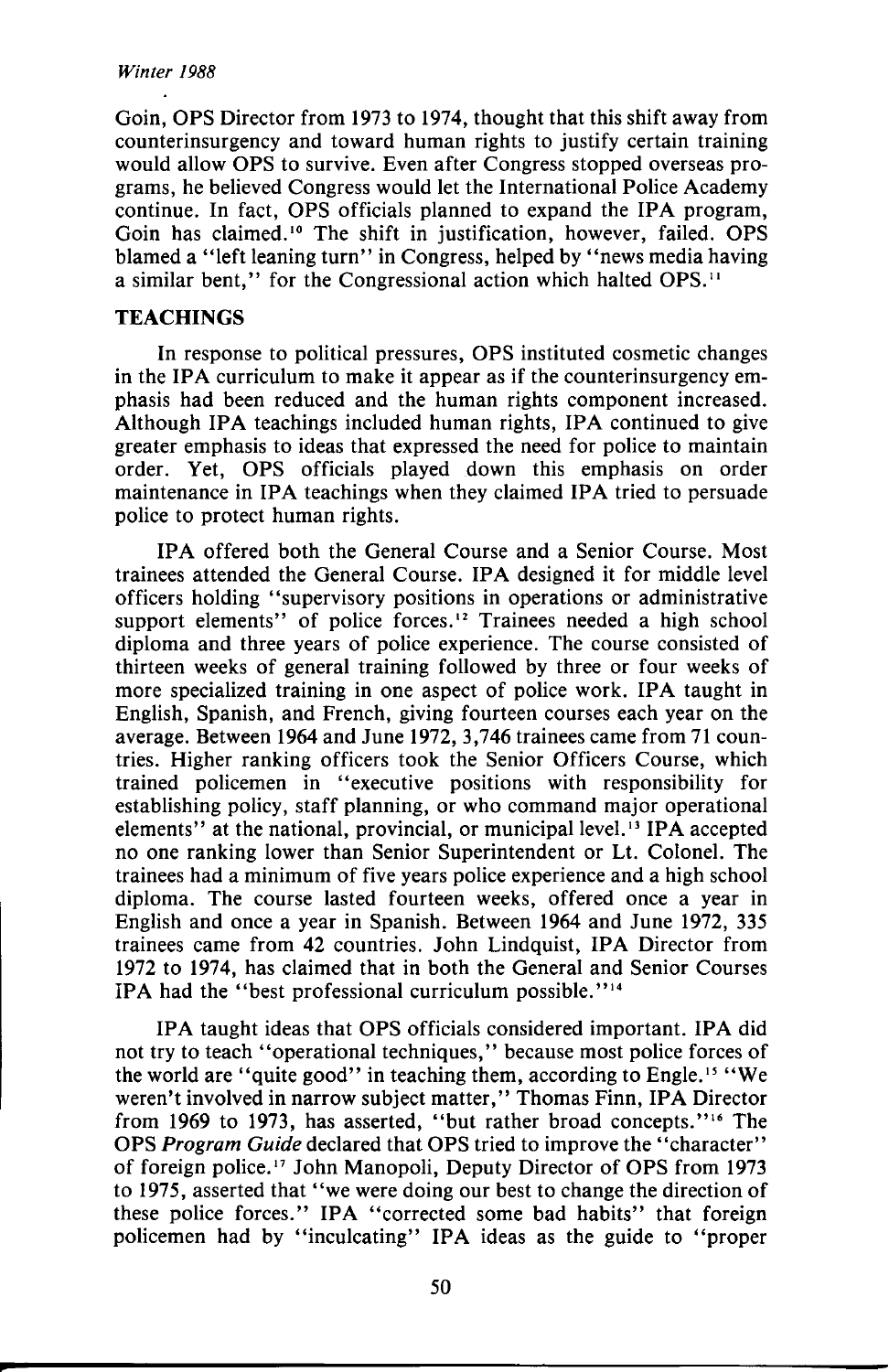Goin, OPS Director from 1973 to 1974, thought that this shift away from counterinsurgency and toward human rights to justify certain training would allow OPS to survive. Even after Congress stopped overseas programs, he believed Congress would let the International Police Academy continue. In fact, OPS officials planned to expand the IPA program, Goin has claimed.<sup>10</sup> The shift in justification, however, failed. OPS blamed a "left leaning turn" in Congress, helped by "news media having a similar bent." for the Congressional action which halted OPS.<sup>11</sup>

### **TEACHINGS**

In response to political pressures, OPS instituted cosmetic changes in the IPA curriculum to make it appear as if the counterinsurgency emphasis had been reduced and the human rights component increased. Although IPA teachings included human rights, IPA continued to give greater emphasis to ideas that expressed the need for police to maintain order. Yet, OPS officials played down this emphasis on order maintenance in IPA teachings when they claimed IPA tried to persuade police to protect human rights.

IPA offered both the General Course and a Senior Course. Most trainees attended the General Course. IPA designed it for middle level officers holding "supervisory positions in operations or administrative support elements" of police forces.<sup>12</sup> Trainees needed a high school diploma and three years of police experience. The course consisted of thirteen weeks of general training followed by three or four weeks of more specialized training in one aspect of police work. IPA taught in English, Spanish, and French, giving fourteen courses each year on the average. Between 1964 and June 1972, 3,746 trainees came from 71 countries. Higher ranking officers took the Senior Officers Course, which trained policemen in "executive positions with responsibility for establishing policy, staff planning, or who command major operational elements" at the national, provincial, or municipal level.<sup>13</sup> IPA accepted no one ranking lower than Senior Superintendent or Lt. Colonel. The trainees had a minimum of five years police experience and a high school diploma. The course lasted fourteen weeks, offered once a year in English and once a year in Spanish. Between 1964 and June 1972, 335 trainees came from 42 countries. John Lindquist, IPA Director from 1972 to 1974, has claimed that in both the General and Senior Courses IPA had the "best professional curriculum possible."<sup>14</sup>

IPA taught ideas that OPS officials considered important. IPA did not try to teach "operational techniques," because most police forces of the world are "quite good" in teaching them, according to Engle.<sup>15</sup> "We weren't involved in narrow subject matter," Thomas Finn, IPA Director from 1969 to 1973, has asserted, "but rather broad concepts."<sup>16</sup> The OPS *Program Guide* declared that OPS tried to improve the "character" of foreign police.<sup>17</sup> John Manopoli, Deputy Director of OPS from 1973 to 1975, asserted that "we were doing our best to change the direction of these police forces." IPA "corrected some bad habits" that foreign policemen had by "inculcating" IPA ideas as the guide to "proper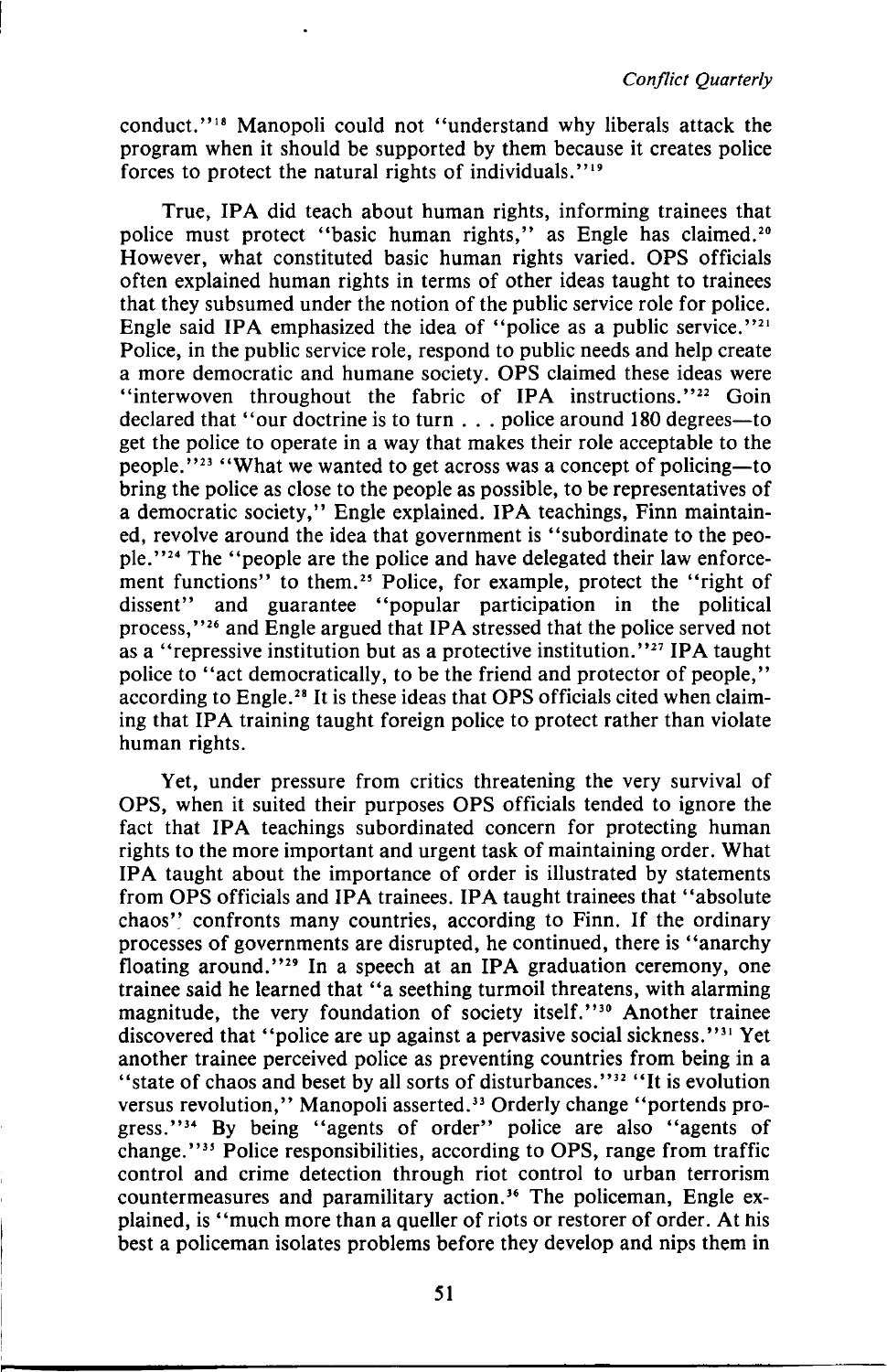conduct."<sup>18</sup> Manopoli could not "understand why liberals attack the program when it should be supported by them because it creates police forces to protect the natural rights of individuals.""

True, IPA did teach about human rights, informing trainees that police must protect "basic human rights," as Engle has claimed.<sup>20</sup> However, what constituted basic human rights varied. OPS officials often explained human rights in terms of other ideas taught to trainees that they subsumed under the notion of the public service role for police. Engle said IPA emphasized the idea of "police as a public service."<sup>21</sup> Police, in the public service role, respond to public needs and help create a more democratic and humane society. OPS claimed these ideas were "interwoven throughout the fabric of IPA instructions."<sup>22</sup> Goin declared that "our doctrine is to turn . . . police around 180 degrees—to get the police to operate in a way that makes their role acceptable to the people."<sup>23</sup> "What we wanted to get across was a concept of policing—to bring the police as close to the people as possible, to be representatives of a democratic society," Engle explained. IPA teachings, Finn maintained, revolve around the idea that government is "subordinate to the people."<sup>24</sup> The "people are the police and have delegated their law enforcement functions" to them.<sup>25</sup> Police, for example, protect the "right of dissent" and guarantee "popular participation in the political process,"<sup>26</sup> and Engle argued that IPA stressed that the police served not process, and Engle diguid that If A stressed that the police served not<br>as a "repressive institution but as a protective institution."<sup>27</sup> IPA taught police to "act democratically, to be the friend and protector of people," ponce to according to the fitch and protector of people,<br>according to Engle.<sup>28</sup> It is these ideas that OPS officials cited when claiming that IPA training taught foreign police to protect rather than violate human rights.

Yet, under pressure from critics threatening the very survival of OPS, when it suited their purposes OPS officials tended to ignore the fact that IPA teachings subordinated concern for protecting human rights to the more important and urgent task of maintaining order. What IPA taught about the importance of order is illustrated by statements from OPS officials and IPA trainees. IPA taught trainees that "absolute chaos" confronts many countries, according to Finn. If the ordinary processes of governments are disrupted, he continued, there is "anarchy floating around."<sup>29</sup> In a speech at an IPA graduation ceremony, one trainee said he learned that "a seething turmoil threatens, with alarming magnitude, the very foundation of society itself."<sup>30</sup> Another trainee discovered that "police are up against a pervasive social sickness."<sup>31</sup> Yet another trainee perceived police as preventing countries from being in a state of chaos and beset by all sorts of disturbances."<sup>32</sup> "It is evolution" versus revolution," Manopoli asserted.<sup>33</sup> Orderly change "portends progress."<sup>34</sup> By being "agents of order" police are also "agents of change."<sup>35</sup> Police responsibilities, according to OPS, range from traffic control and crime detection through riot control to urban terrorism countermeasures and paramilitary action.<sup>36</sup> The policeman, Engle explained, is "much more than a queller of riots or restorer of order. At his best a policeman isolates problems before they develop and nips them in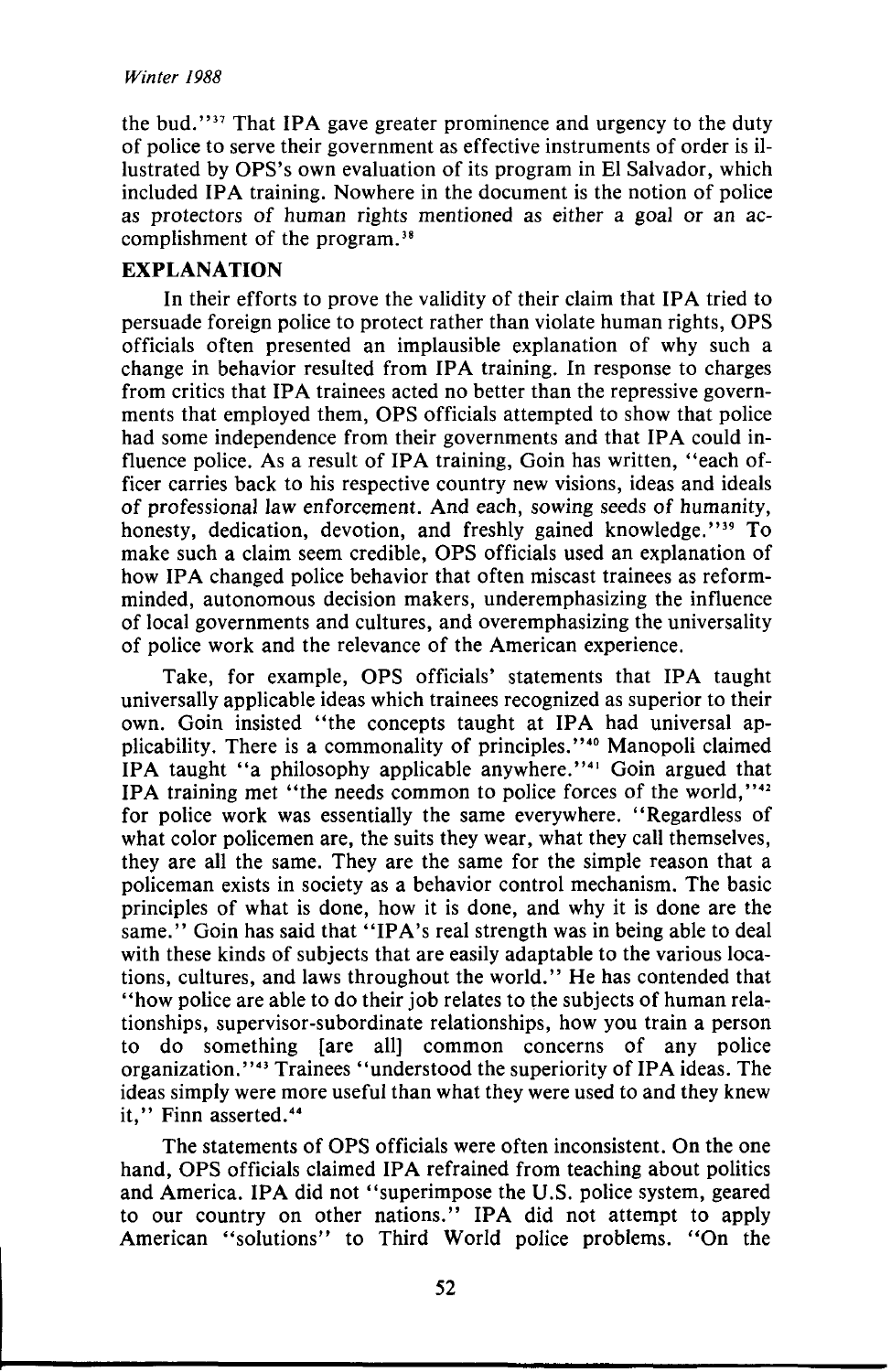the bud."<sup>37</sup> That IPA gave greater prominence and urgency to the duty of police to serve their government as effective instruments of order is illustrated by OPS's own evaluation of its program in El Salvador, which included IPA training. Nowhere in the document is the notion of police as protectors of human rights mentioned as either a goal or an accomplishment of the program.<sup>38</sup>

### **EXPLANATION**

In their efforts to prove the validity of their claim that IPA tried to persuade foreign police to protect rather than violate human rights, OPS officials often presented an implausible explanation of why such a change in behavior resulted from IPA training. In response to charges from critics that IPA trainees acted no better than the repressive governments that employed them, OPS officials attempted to show that police had some independence from their governments and that IPA could influence police. As a result of IPA training, Goin has written, "each officer carries back to his respective country new visions, ideas and ideals of professional law enforcement. And each, sowing seeds of humanity, honesty, dedication, devotion, and freshly gained knowledge."<sup>39</sup> To make such a claim seem credible, OPS officials used an explanation of how IPA changed police behavior that often miscast trainees as reformminded, autonomous decision makers, underemphasizing the influence of local governments and cultures, and overemphasizing the universality of police work and the relevance of the American experience.

Take, for example, OPS officials' statements that IPA taught universally applicable ideas which trainees recognized as superior to their own. Goin insisted "the concepts taught at IPA had universal applicability. There is a commonality of principles."<sup>40</sup> Manopoli claimed IPA taught "a philosophy applicable anywhere."<sup>41</sup> Goin argued that IPA training met "the needs common to police forces of the world,"<sup>42</sup> for police work was essentially the same everywhere. "Regardless of what color policemen are, the suits they wear, what they call themselves, they are all the same. They are the same for the simple reason that a policeman exists in society as a behavior control mechanism. The basic principles of what is done, how it is done, and why it is done are the same." Goin has said that "IPA's real strength was in being able to deal with these kinds of subjects that are easily adaptable to the various locations, cultures, and laws throughout the world." He has contended that "how police are able to do their job relates to the subjects of human relationships, supervisor-subordinate relationships, how you train a person to do something [are all] common concerns of any police organization."<sup>43</sup> Trainees "understood the superiority of IPA ideas. The ideas simply were more useful than what they were used to and they knew it," Finn asserted.<sup>44</sup>

The statements of OPS officials were often inconsistent. On the one hand, OPS officials claimed IPA refrained from teaching about politics and America. IPA did not "superimpose the U.S. police system, geared to our country on other nations." IPA did not attempt to apply American "solutions" to Third World police problems. "On the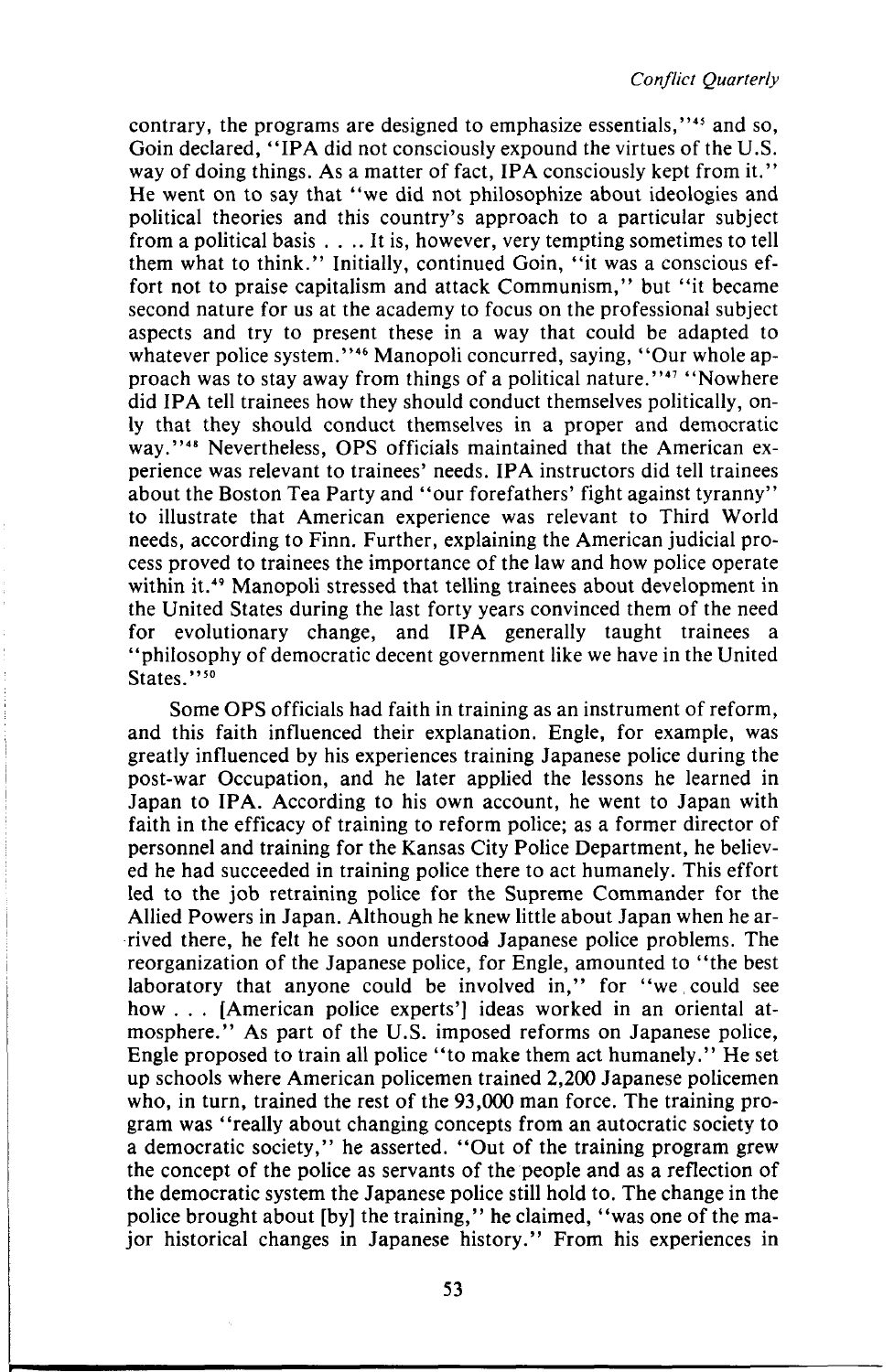contrary, the programs are designed to emphasize essentials,"<sup>45</sup> and so, Goin declared, "IPA did not consciously expound the virtues of the U.S. way of doing things. As a matter of fact, IPA consciously kept from it." He went on to say that "we did not philosophize about ideologies and political theories and this country's approach to a particular subject from a political basis . . .. It is, however, very tempting sometimes to tell them what to think." Initially, continued Goin, "it was a conscious effort not to praise capitalism and attack Communism," but "it became second nature for us at the academy to focus on the professional subject aspects and try to present these in a way that could be adapted to whatever police system."<sup>46</sup> Manopoli concurred, saying, "Our whole approach was to stay away from things of a political nature."<sup>47</sup> "Nowhere did IPA tell trainees how they should conduct themselves politically, only that they should conduct themselves in a proper and democratic way."<sup>48</sup> Nevertheless, OPS officials maintained that the American experience was relevant to trainees' needs. IPA instructors did tell trainees about the Boston Tea Party and "our forefathers' fight against tyranny" to illustrate that American experience was relevant to Third World needs, according to Finn. Further, explaining the American judicial process proved to trainees the importance of the law and how police operate within it.<sup>49</sup> Manopoli stressed that telling trainees about development in the United States during the last forty years convinced them of the need for evolutionary change, and IPA generally taught trainees a "philosophy of democratic decent government like we have in the United States."<sup>50</sup>

Some OPS officials had faith in training as an instrument of reform, and this faith influenced their explanation. Engle, for example, was greatly influenced by his experiences training Japanese police during the post-war Occupation, and he later applied the lessons he learned in Japan to IPA. According to his own account, he went to Japan with faith in the efficacy of training to reform police; as a former director of personnel and training for the Kansas City Police Department, he believed he had succeeded in training police there to act humanely. This effort led to the job retraining police for the Supreme Commander for the Allied Powers in Japan. Although he knew little about Japan when he arrived there, he felt he soon understood Japanese police problems. The reorganization of the Japanese police, for Engle, amounted to "the best laboratory that anyone could be involved in," for "we could see how . . . [American police experts'] ideas worked in an oriental atmosphere." As part of the U.S. imposed reforms on Japanese police, Engle proposed to train all police "to make them act humanely." He set up schools where American policemen trained 2,200 Japanese policemen who, in turn, trained the rest of the 93,000 man force. The training program was "really about changing concepts from an autocratic society to a democratic society," he asserted. "Out of the training program grew the concept of the police as servants of the people and as a reflection of the democratic system the Japanese police still hold to. The change in the police brought about [by] the training," he claimed, "was one of the major historical changes in Japanese history." From his experiences in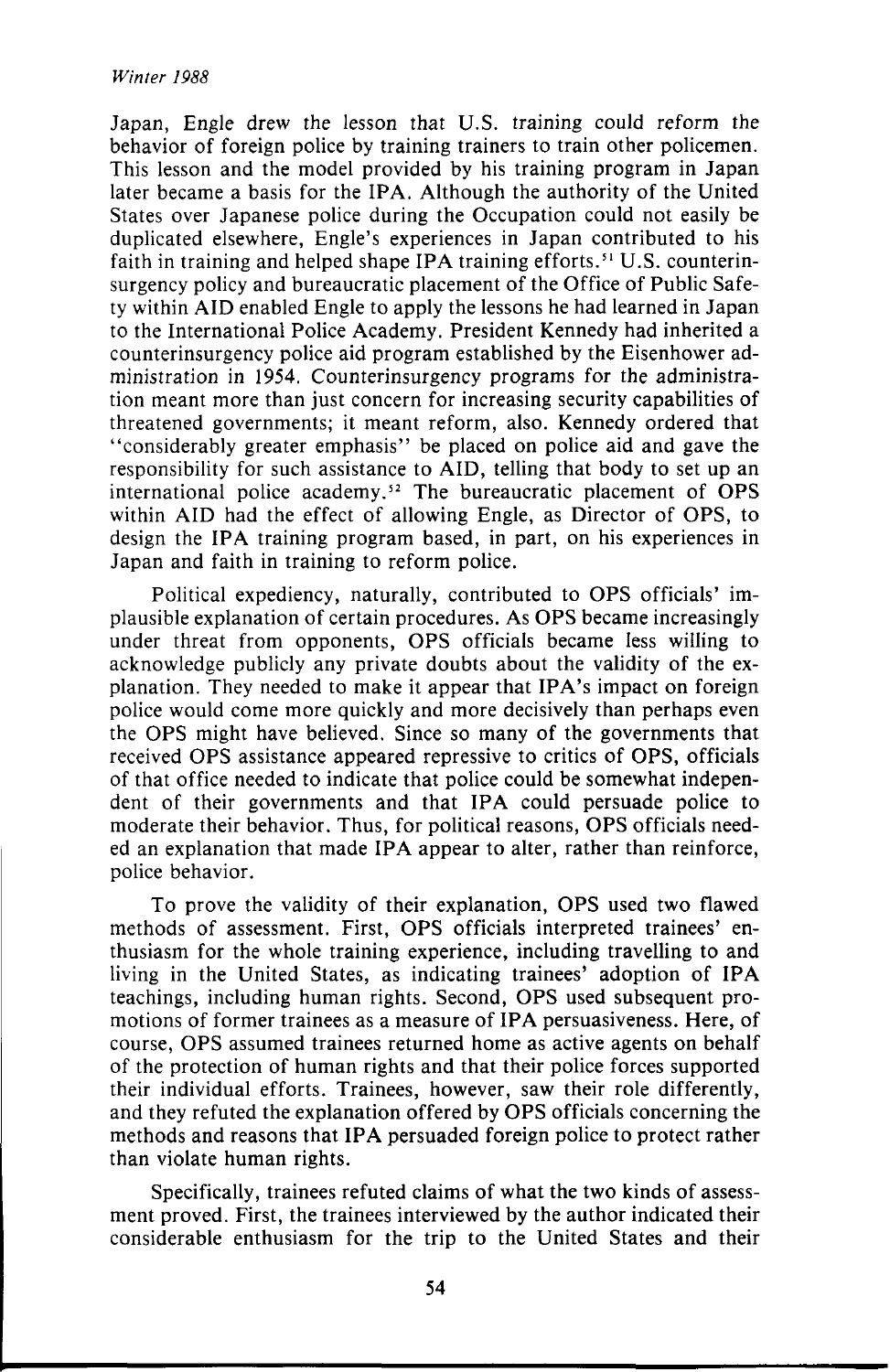Japan, Engle drew the lesson that U.S. training could reform the behavior of foreign police by training trainers to train other policemen. This lesson and the model provided by his training program in Japan later became a basis for the IPA. Although the authority of the United States over Japanese police during the Occupation could not easily be duplicated elsewhere, Engle's experiences in Japan contributed to his faith in training and helped shape IPA training efforts.<sup>51</sup> U.S. counterinsurgency policy and bureaucratic placement of the Office of Public Safety within AID enabled Engle to apply the lessons he had learned in Japan to the International Police Academy. President Kennedy had inherited a counterinsurgency police aid program established by the Eisenhower administration in 1954. Counterinsurgency programs for the administration meant more than just concern for increasing security capabilities of threatened governments; it meant reform, also. Kennedy ordered that "considerably greater emphasis" be placed on police aid and gave the responsibility for such assistance to AID, telling that body to set up an international police academy.<sup>52</sup> The bureaucratic placement of OPS within AID had the effect of allowing Engle, as Director of OPS, to design the IPA training program based, in part, on his experiences in Japan and faith in training to reform police.

Political expediency, naturally, contributed to OPS officials' implausible explanation of certain procedures. As OPS became increasingly under threat from opponents, OPS officials became less willing to acknowledge publicly any private doubts about the validity of the explanation. They needed to make it appear that IPA's impact on foreign police would come more quickly and more decisively than perhaps even the OPS might have believed. Since so many of the governments that received OPS assistance appeared repressive to critics of OPS, officials of that office needed to indicate that police could be somewhat independent of their governments and that IPA could persuade police to moderate their behavior. Thus, for political reasons, OPS officials needed an explanation that made IPA appear to alter, rather than reinforce, police behavior.

To prove the validity of their explanation, OPS used two flawed methods of assessment. First, OPS officials interpreted trainees' enthusiasm for the whole training experience, including travelling to and living in the United States, as indicating trainees' adoption of IPA teachings, including human rights. Second, OPS used subsequent promotions of former trainees as a measure of IPA persuasiveness. Here, of course, OPS assumed trainees returned home as active agents on behalf of the protection of human rights and that their police forces supported their individual efforts. Trainees, however, saw their role differently, and they refuted the explanation offered by OPS officials concerning the methods and reasons that IPA persuaded foreign police to protect rather than violate human rights.

Specifically, trainees refuted claims of what the two kinds of assessment proved. First, the trainees interviewed by the author indicated their considerable enthusiasm for the trip to the United States and their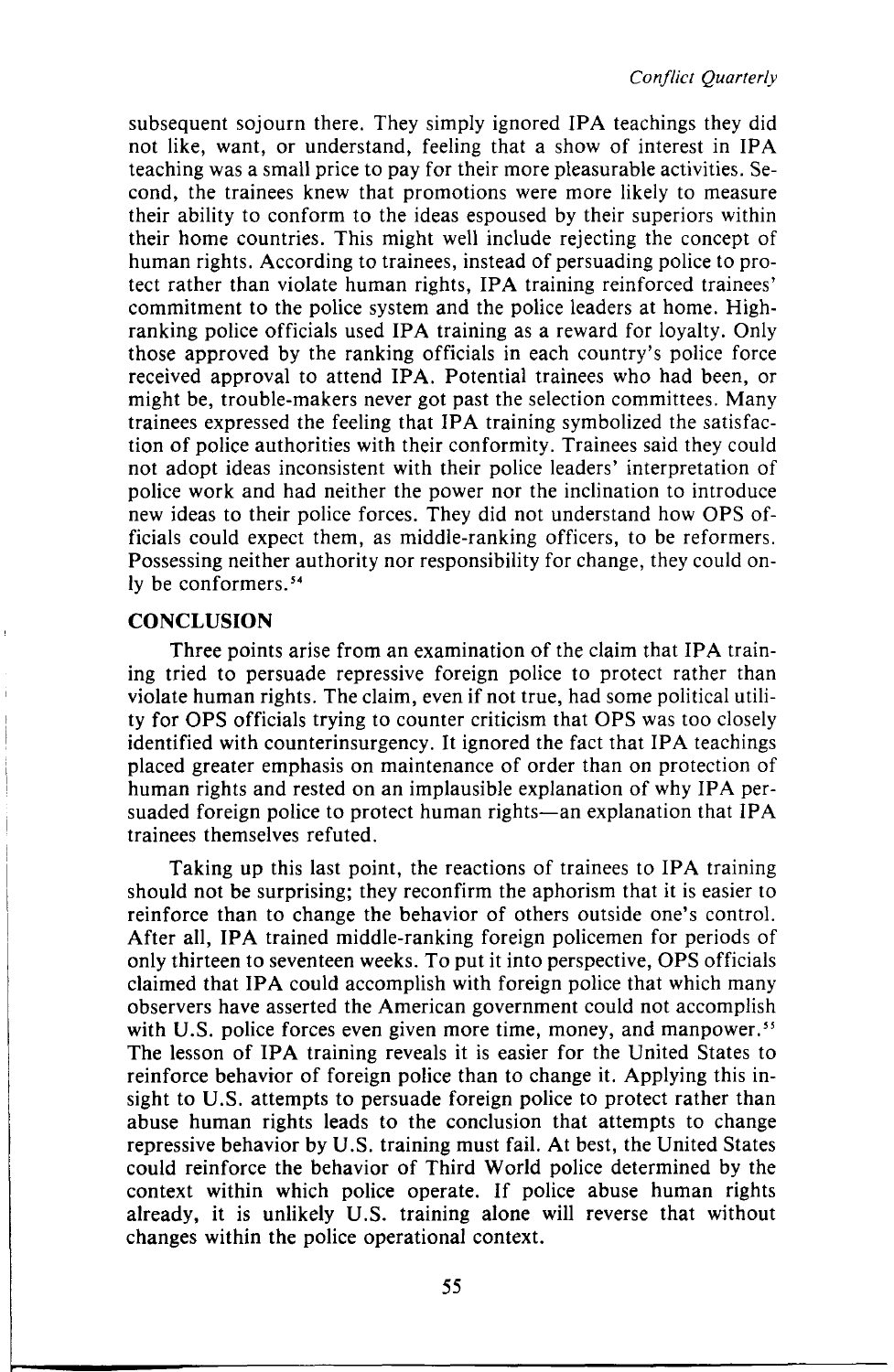subsequent sojourn there. They simply ignored IPA teachings they did not like, want, or understand, feeling that a show of interest in IPA teaching was a small price to pay for their more pleasurable activities. Second, the trainees knew that promotions were more likely to measure their ability to conform to the ideas espoused by their superiors within their home countries. This might well include rejecting the concept of human rights. According to trainees, instead of persuading police to protect rather than violate human rights, IPA training reinforced trainees' commitment to the police system and the police leaders at home. Highranking police officials used IPA training as a reward for loyalty. Only those approved by the ranking officials in each country's police force received approval to attend IPA. Potential trainees who had been, or might be, trouble-makers never got past the selection committees. Many trainees expressed the feeling that IPA training symbolized the satisfaction of police authorities with their conformity. Trainees said they could not adopt ideas inconsistent with their police leaders' interpretation of police work and had neither the power nor the inclination to introduce new ideas to their police forces. They did not understand how OPS officials could expect them, as middle-ranking officers, to be reformers. Possessing neither authority nor responsibility for change, they could only be conformers.<sup>54</sup>

### **CONCLUSION**

Three points arise from an examination of the claim that IPA training tried to persuade repressive foreign police to protect rather than violate human rights. The claim, even if not true, had some political utility for OPS officials trying to counter criticism that OPS was too closely identified with counterinsurgency. It ignored the fact that IPA teachings placed greater emphasis on maintenance of order than on protection of human rights and rested on an implausible explanation of why IPA persuaded foreign police to protect human rights—an explanation that IPA trainees themselves refuted.

Taking up this last point, the reactions of trainees to IPA training should not be surprising; they reconfirm the aphorism that it is easier to reinforce than to change the behavior of others outside one's control. After all, **IPA** trained middle-ranking foreign policemen for periods of only thirteen to seventeen weeks. To put it into perspective, OPS officials claimed that IPA could accomplish with foreign police that which many observers have asserted the American government could not accomplish with U.S. police forces even given more time, money, and manpower.<sup>55</sup> The lesson of **IPA** training reveals it is easier for the United States to reinforce behavior of foreign police than to change it. Applying this insight to U.S. attempts to persuade foreign police to protect rather than abuse human rights leads to the conclusion that attempts to change repressive behavior by U.S. training must fail. At best, the United States could reinforce the behavior of Third World police determined by the context within which police operate. If police abuse human rights already, it is unlikely U.S. training alone will reverse that without changes within the police operational context.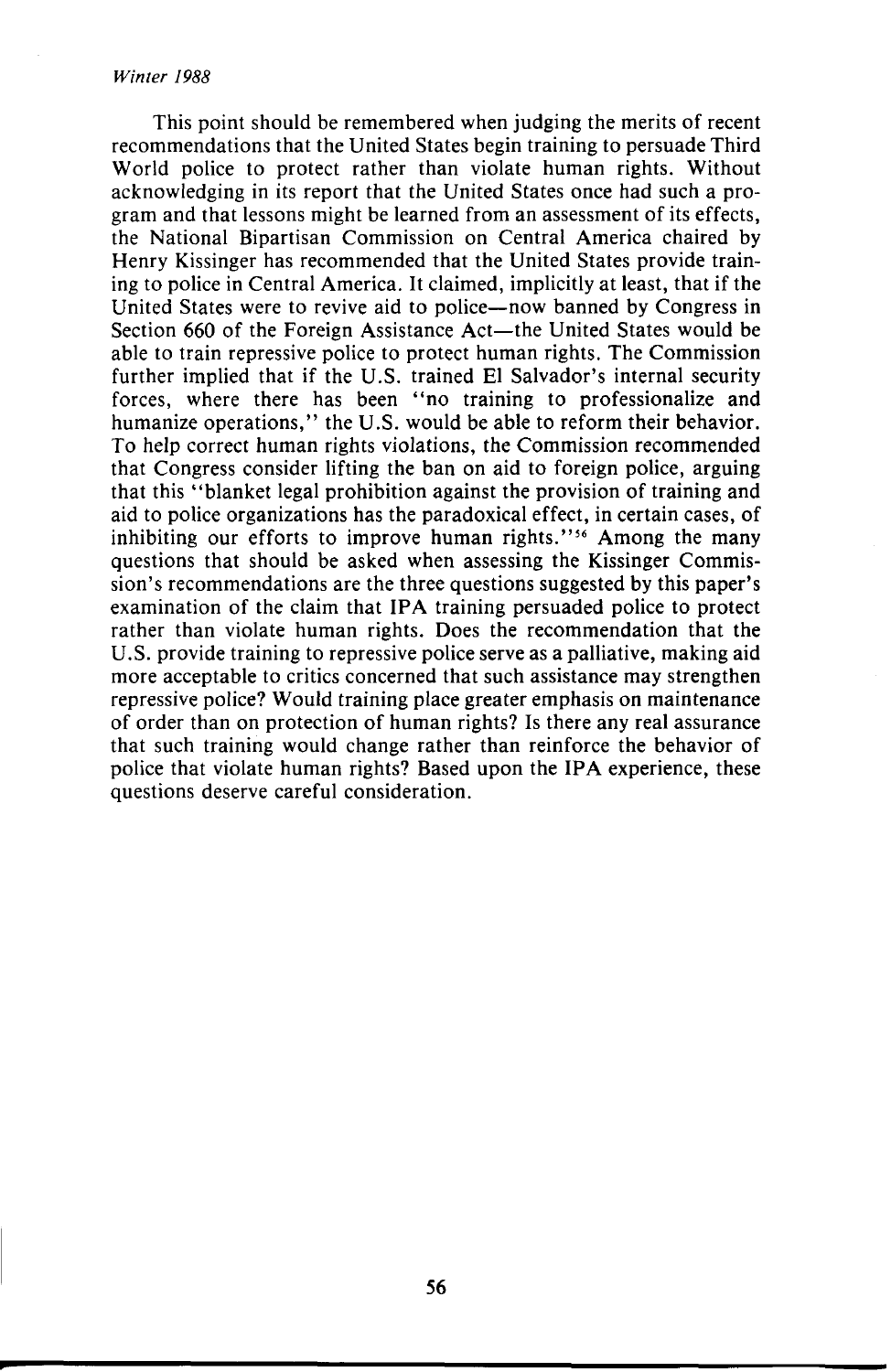#### *Winter 1988*

This point should be remembered when judging the merits of recent recommendations that the United States begin training to persuade Third World police to protect rather than violate human rights. Without acknowledging in its report that the United States once had such a program and that lessons might be learned from an assessment of its effects, the National Bipartisan Commission on Central America chaired by Henry Kissinger has recommended that the United States provide training to police in Central America. It claimed, implicitly at least, that if the United States were to revive aid to police—now banned by Congress in Section 660 of the Foreign Assistance Act—the United States would be able to train repressive police to protect human rights. The Commission further implied that if the U.S. trained El Salvador's internal security forces, where there has been "no training to professionalize and humanize operations," the U.S. would be able to reform their behavior. To help correct human rights violations, the Commission recommended that Congress consider lifting the ban on aid to foreign police, arguing that this "blanket legal prohibition against the provision of training and aid to police organizations has the paradoxical effect, in certain cases, of inhibiting our efforts to improve human rights."<sup>56</sup> Among the many questions that should be asked when assessing the Kissinger Commission's recommendations are the three questions suggested by this paper's examination of the claim that IPA training persuaded police to protect rather than violate human rights. Does the recommendation that the U.S. provide training to repressive police serve as a palliative, making aid more acceptable to critics concerned that such assistance may strengthen repressive police? Would training place greater emphasis on maintenance of order than on protection of human rights? Is there any real assurance that such training would change rather than reinforce the behavior of police that violate human rights? Based upon the IPA experience, these questions deserve careful consideration.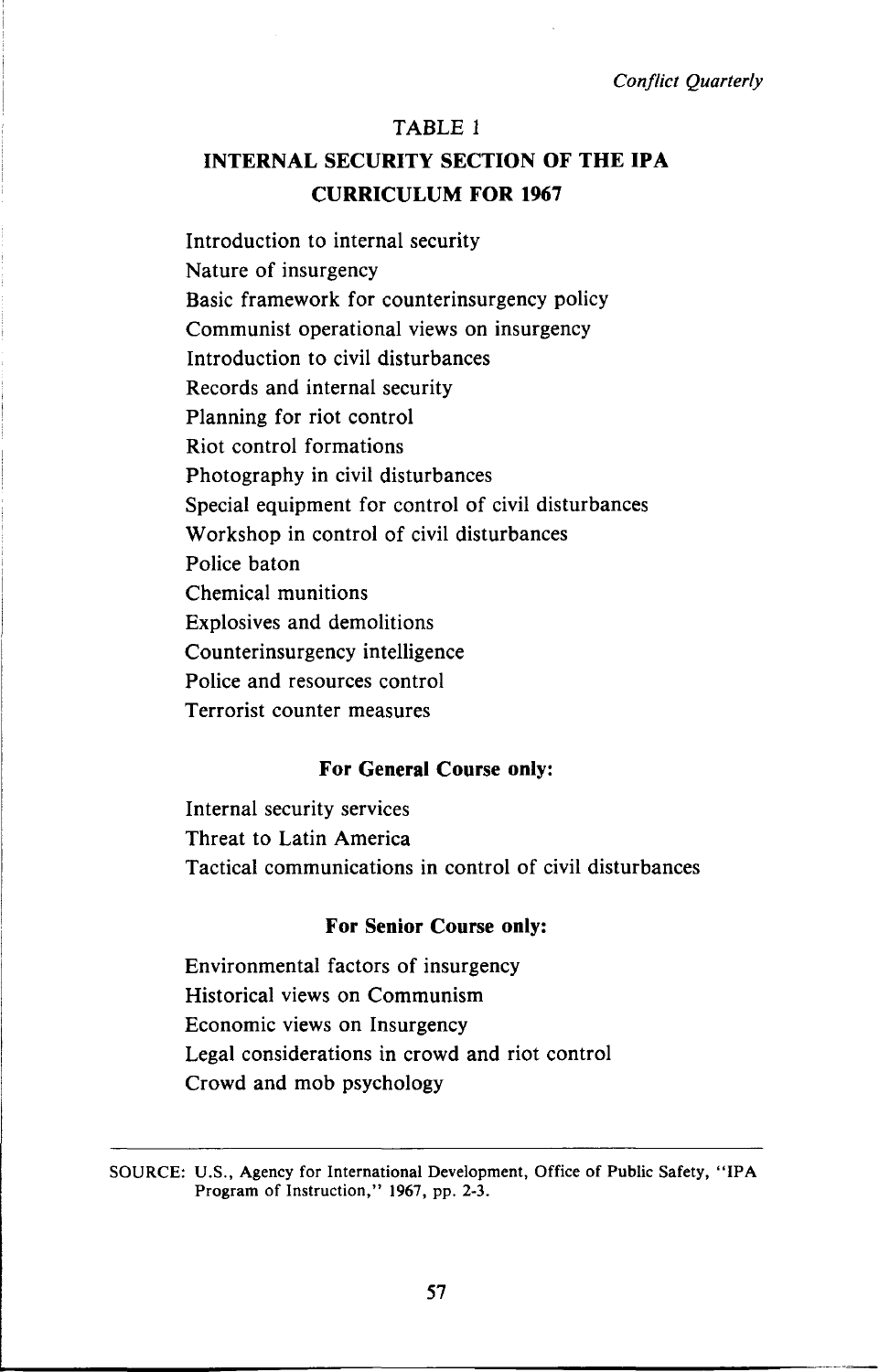### TABLE 1

# **INTERNAL SECURITY SECTION OF THE IPA CURRICULUM FOR 1967**

Introduction to internal security Nature of insurgency Basic framework for counterinsurgency policy Communist operational views on insurgency Introduction to civil disturbances Records and internal security Planning for riot control Riot control formations Photography in civil disturbances Special equipment for control of civil disturbances Workshop in control of civil disturbances Police baton Chemical munitions Explosives and demolitions Counterinsurgency intelligence Police and resources control Terrorist counter measures

### **For General Course only:**

Internal security services Threat to Latin America Tactical communications in control of civil disturbances

### **For Senior Course only:**

Environmental factors of insurgency Historical views on Communism Economic views on Insurgency Legal considerations in crowd and riot control Crowd and mob psychology

SOURCE: U.S., Agency for International Development, Office of Public Safety, "IPA Program of Instruction," 1967, pp. 2-3.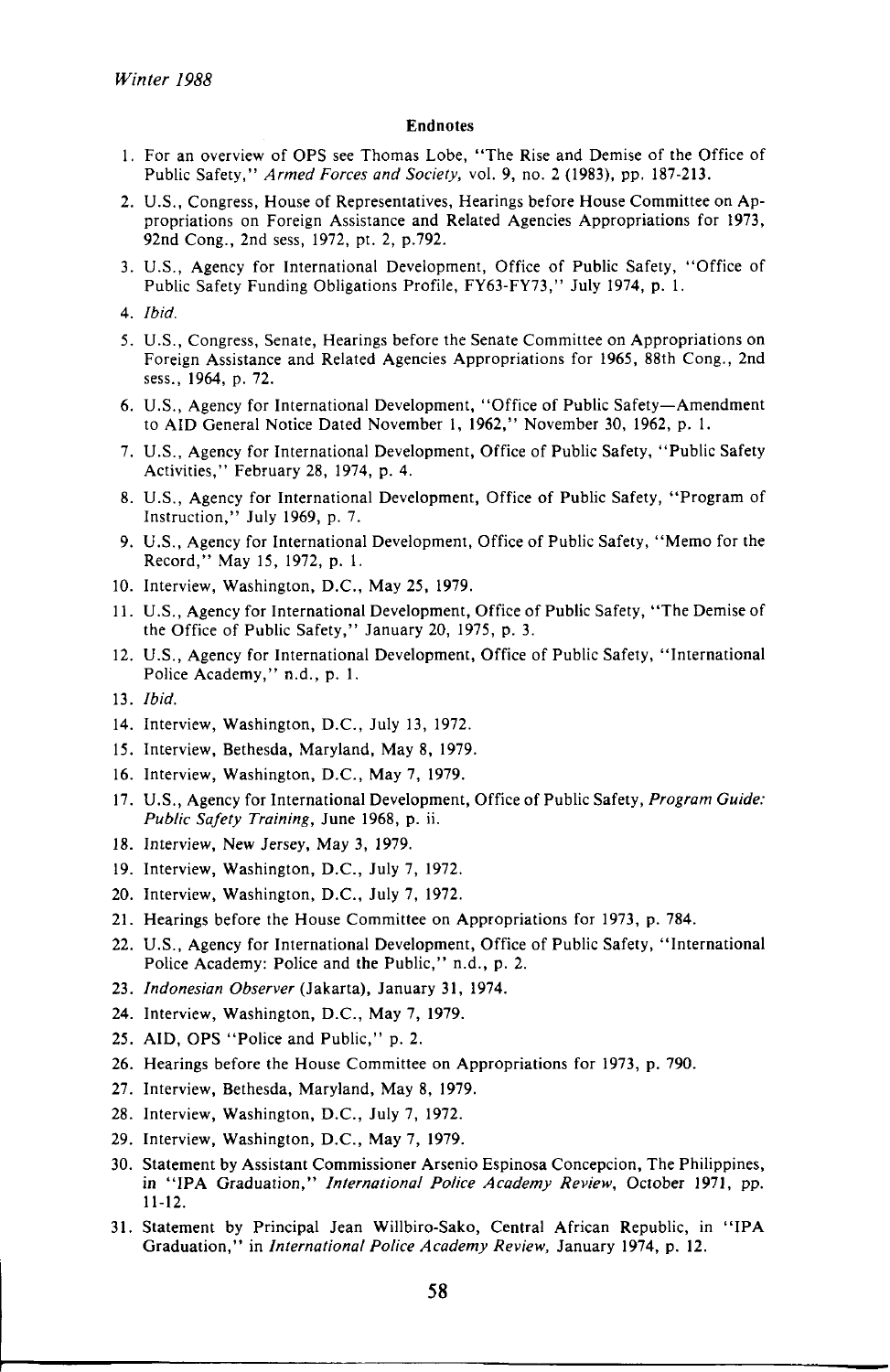#### **Endnotes**

- 1. For an overview of OPS see Thomas Lobe, "The Rise and Demise of the Office of Public Safety," *Armed Forces and Society,* vol. 9, no. 2 (1983), pp. 187-213.
- 2. U.S., Congress, House of Representatives, Hearings before House Committee on Appropriations on Foreign Assistance and Related Agencies Appropriations for 1973, 92nd Cong., 2nd sess, 1972, pt. 2, p.792.
- 3. U.S., Agency for International Development, Office of Public Safety, "Office of Public Safety Funding Obligations Profile, FY63-FY73," July 1974, p. 1.
- 4. *Ibid.*
- 5. U.S., Congress, Senate, Hearings before the Senate Committee on Appropriations on Foreign Assistance and Related Agencies Appropriations for 1965, 88th Cong., 2nd sess., 1964, p. 72.
- 6. U.S., Agency for International Development, "Office of Public Safety—Amendment to AID General Notice Dated November 1, 1962," November 30, 1962, p. 1.
- 7. U.S., Agency for International Development, Office of Public Safety, "Public Safety Activities," February 28, 1974, p. 4.
- 8. U.S., Agency for International Development, Office of Public Safety, "Program of Instruction," July 1969, p. 7.
- 9. U.S., Agency for International Development, Office of Public Safety, "Memo for the Record," May 15, 1972, p. 1.
- 10. Interview, Washington, D.C., May 25, 1979.
- 11. U.S., Agency for International Development, Office of Public Safety, "The Demise of the Office of Public Safety," January 20, 1975, p. 3.
- 12. U.S., Agency for International Development, Office of Public Safety, "International Police Academy," n.d., p. 1.
- 13. *Ibid.*
- 14. Interview, Washington, D.C., July 13, 1972.
- 15. Interview, Bethesda, Maryland, May 8, 1979.
- 16. Interview, Washington, D.C., May 7, 1979.
- 17. U.S., Agency for International Development, Office of Public Safety, *Program Guide: Public Safety Training,* June 1968, p. ii.
- 18. Interview, New Jersey, May 3, 1979.
- 19. Interview, Washington, D.C., July 7, 1972.
- 20. Interview, Washington, D.C., July 7, 1972.
- 21. Hearings before the House Committee on Appropriations for 1973, p. 784.
- 22. U.S., Agency for International Development, Office of Public Safety, "International Police Academy: Police and the Public," n.d., p. 2.
- 23. *Indonesian Observer* (Jakarta), January 31, 1974.
- 24. Interview, Washington, D.C., May 7, 1979.
- 25. AID, OPS "Police and Public," p. 2.
- 26. Hearings before the House Committee on Appropriations for 1973, p. 790.
- 27. Interview, Bethesda, Maryland, May 8, 1979.
- 28. Interview, Washington, D.C., July 7, 1972.
- 29. Interview, Washington, D.C., May 7, 1979.
- 30. Statement by Assistant Commissioner Arsenio Espinosa Concepcion, The Philippines, in "IPA Graduation," *International Police Academy Review,* October 1971, pp. 11-12.
- 31. Statement by Principal Jean Willbiro-Sako, Central African Republic, in "IPA Graduation," in *International Police Academy Review,* January 1974, p. 12.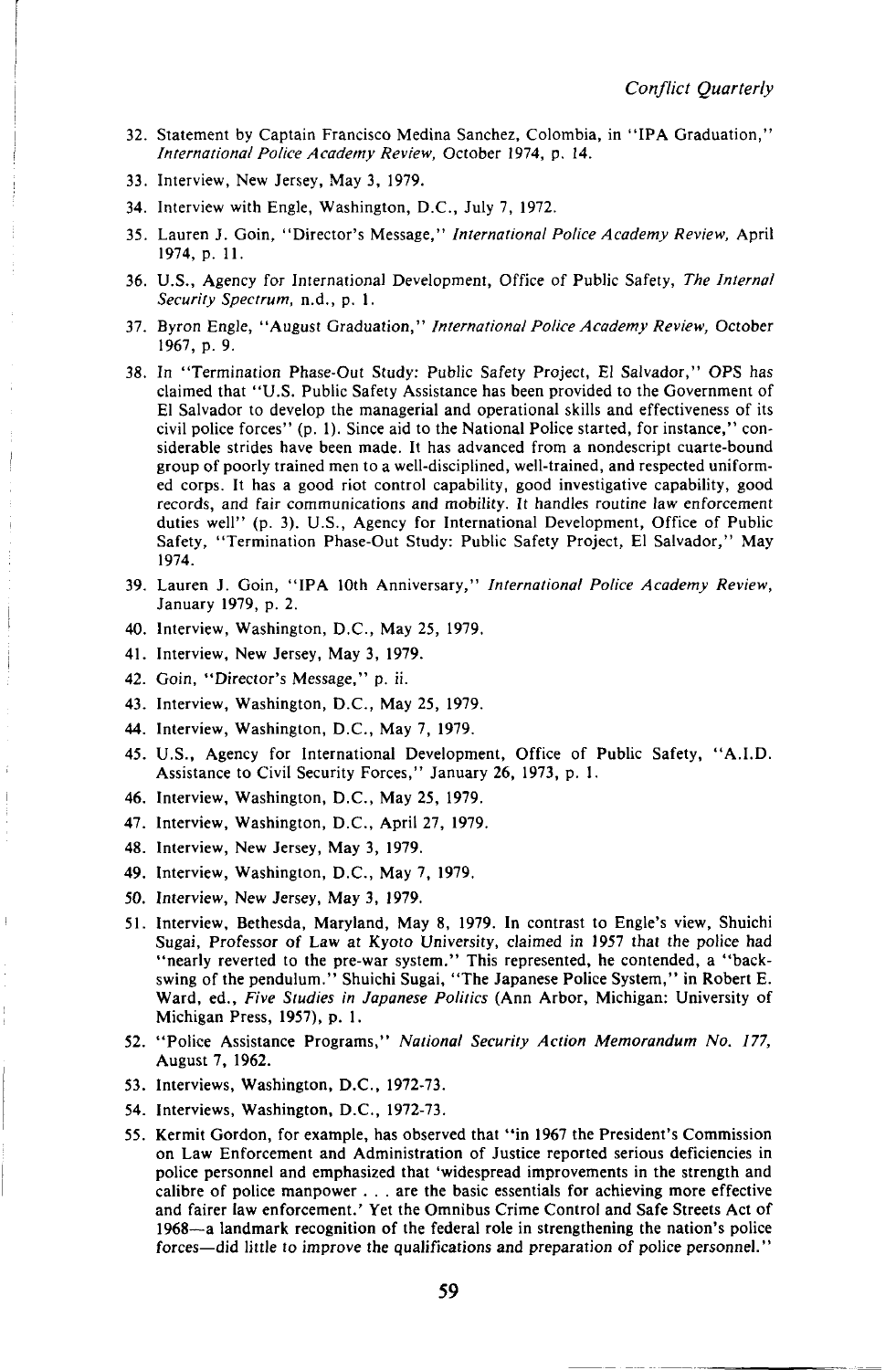- 32. Statement by Captain Francisco Medina Sanchez, Colombia, in "IPA Graduation," *International Police Academy Review,* October 1974, p. 14.
- 33. Interview, New Jersey, May 3, 1979.
- 34. Interview with Engle, Washington, D.C., July 7, 1972.
- 35. Lauren J. Goin, "Director's Message," *International Police Academy Review,* April 1974, p. 11.
- 36. U.S., Agency for International Development, Office of Public Safety, *The Internal Security Spectrum,* n.d., p. 1.
- 37. Byron Engle, "August Graduation," *International Police Academy Review,* October 1967, p. 9.
- 38. In "Termination Phase-Out Study: Public Safety Project, El Salvador," OPS has claimed that "U.S. Public Safety Assistance has been provided to the Government of El Salvador to develop the managerial and operational skills and effectiveness of its civil police forces" (p. 1). Since aid to the National Police started, for instance," considerable strides have been made. It has advanced from a nondescript cuarte-bound group of poorly trained men to a well-disciplined, well-trained, and respected uniformed corps. It has a good riot control capability, good investigative capability, good records, and fair communications and mobility. It handles routine law enforcement duties well" (p. 3). U.S., Agency for International Development, Office of Public Safety, "Termination Phase-Out Study: Public Safety Project, El Salvador," May 1974.
- 39. Lauren J. Goin, "IPA 10th Anniversary," *International Police Academy Review,*  January 1979, p. 2.
- 40. Interview, Washington, D.C., May 25, 1979.
- 41. Interview, New Jersey, May 3, 1979.
- 42. Goin, "Director's Message," p. ii.
- 43. Interview, Washington, D.C., May 25, 1979.
- 44. Interview, Washington, D.C., May 7, 1979.
- 45. U.S., Agency for International Development, Office of Public Safety, "A.I.D. Assistance to Civil Security Forces," January 26, 1973, p. 1.
- 46. Interview, Washington, D.C., May 25, 1979.
- 47. Interview, Washington, D.C., April 27, 1979.
- 48. Interview, New Jersey, May 3, 1979.
- 49. Interview, Washington, D.C., May 7, 1979.
- 50. Interview, New Jersey, May 3, 1979.
- 51. Interview, Bethesda, Maryland, May 8, 1979. In contrast to Engle's view, Shuichi Sugai, Professor of Law at Kyoto University, claimed in 1957 that the police had "nearly reverted to the pre-war system." This represented, he contended, a "backswing of the pendulum." Shuichi Sugai, "The Japanese Police System," in Robert E. Ward, ed., *Five Studies in Japanese Politics* (Ann Arbor, Michigan: University of Michigan Press, 1957), p. 1.
- 52. "Police Assistance Programs," *National Security Action Memorandum No. 177,*  August 7, 1962.
- 53. Interviews, Washington, D.C., 1972-73.
- 54. Interviews, Washington, D.C., 1972-73.
- 55. Kermit Gordon, for example, has observed that "in 1967 the President's Commission on Law Enforcement and Administration of Justice reported serious deficiencies in police personnel and emphasized that 'widespread improvements in the strength and calibre of police manpower . . . are the basic essentials for achieving more effective and fairer law enforcement.' Yet the Omnibus Crime Control and Safe Streets Act of 1968—a landmark recognition of the federal role in strengthening the nation's police forces—did little to improve the qualifications and preparation of police personnel."